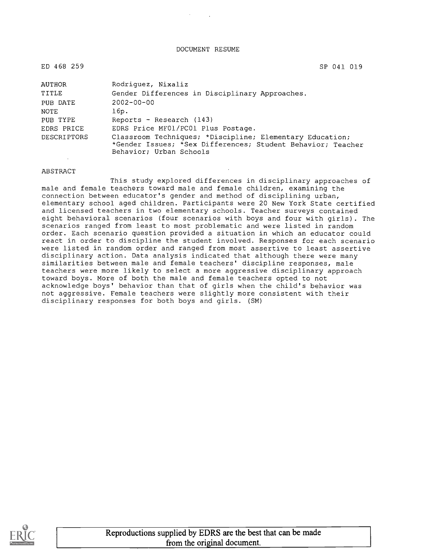DOCUMENT RESUME

| ED 468 259         | SP 041 019                                                                                                                                         |
|--------------------|----------------------------------------------------------------------------------------------------------------------------------------------------|
| AUTHOR             | Rodriquez, Nixaliz                                                                                                                                 |
| TITLE              | Gender Differences in Disciplinary Approaches.                                                                                                     |
| PUB DATE           | $2002 - 00 - 00$                                                                                                                                   |
| NOTE               | 16p.                                                                                                                                               |
| PUB TYPE           | Reports - Research $(143)$                                                                                                                         |
| EDRS PRICE         | EDRS Price MF01/PC01 Plus Postage.                                                                                                                 |
| <b>DESCRIPTORS</b> | Classroom Techniques; *Discipline; Elementary Education;<br>*Gender Issues; *Sex Differences; Student Behavior; Teacher<br>Behavior; Urban Schools |

#### ABSTRACT

This study explored differences in disciplinary approaches of male and female teachers toward male and female children, examining the connection between educator's gender and method of disciplining urban, elementary school aged children. Participants were 20 New York State certified and licensed teachers in two elementary schools. Teacher surveys contained eight behavioral scenarios (four scenarios with boys and four with girls). The scenarios ranged from least to most problematic and were listed in random order. Each scenario question provided a situation in which an educator could react in order to discipline the student involved. Responses for each scenario were listed in random order and ranged from most assertive to least assertive disciplinary action. Data analysis indicated that although there were many similarities between male and female teachers' discipline responses, male teachers were more likely to select a more aggressive disciplinary approach toward boys. More of both the male and female teachers opted to not acknowledge boys' behavior than that of girls when the child's behavior was not aggressive. Female teachers were slightly more consistent with their disciplinary responses for both boys and girls. (SM)

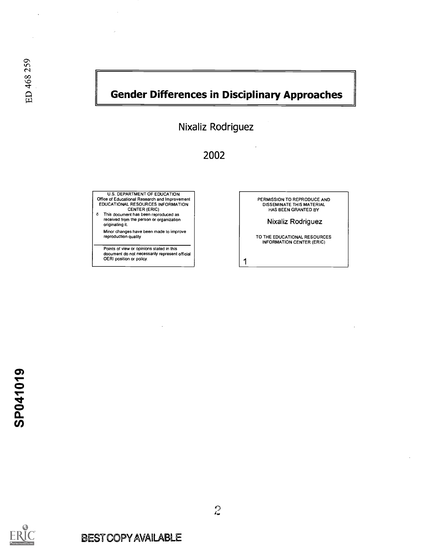# Gender Differences in Disciplinary Approaches

1

Nixaliz Rodriguez

# 2002

U.S. DEPARTMENT OF EDUCATION Office of Educational Research and Improvement EDUCATIONAL RESOURCES INFORMATION CENTER (ERIC)

This document has been reproduced as received from the person or organization originating it.

Minor changes have been made to improve reproduction quality

Points of view or opinions stated in this document do not necessarily represent official OERI position or policy.

PERMISSION TO REPRODUCE AND DISSEMINATE THIS MATERIAL HAS BEEN GRANTED BY

Nixaliz Rodriguez

TO THE EDUCATIONAL RESOURCES INFORMATION CENTER (ERIC)

SP041019

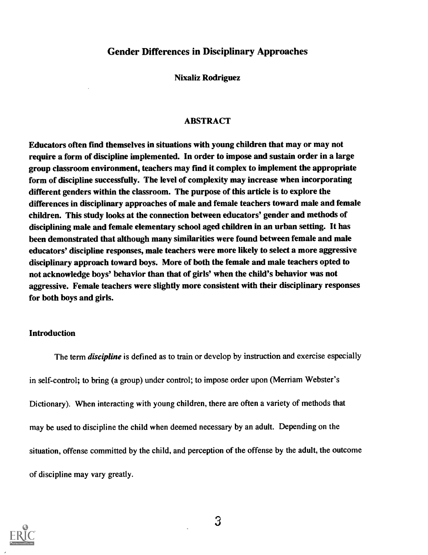#### Gender Differences in Disciplinary Approaches

Nixaliz Rodriguez

#### ABSTRACT

Educators often find themselves in situations with young children that may or may not require a form of discipline implemented. In order to impose and sustain order in a large group classroom environment, teachers may fmd it complex to implement the appropriate form of discipline successfully. The level of complexity may increase when incorporating different genders within the classroom. The purpose of this article is to explore the differences in disciplinary approaches of male and female teachers toward male and female children. This study looks at the connection between educators' gender and methods of disciplining male and female elementary school aged children in an urban setting. It has been demonstrated that although many similarities were found between female and male educators' discipline responses, male teachers were more likely to select a more aggressive disciplinary approach toward boys. More of both the female and male teachers opted to not acknowledge boys' behavior than that of girls' when the child's behavior was not aggressive. Female teachers were slightly more consistent with their disciplinary responses for both boys and girls.

#### Introduction

The term *discipline* is defined as to train or develop by instruction and exercise especially in self-control; to bring (a group) under control; to impose order upon (Merriam Webster's Dictionary). When interacting with young children, there are often a variety of methods that may be used to discipline the child when deemed necessary by an adult. Depending on the situation, offense committed by the child, and perception of the offense by the adult, the outcome of discipline may vary greatly.

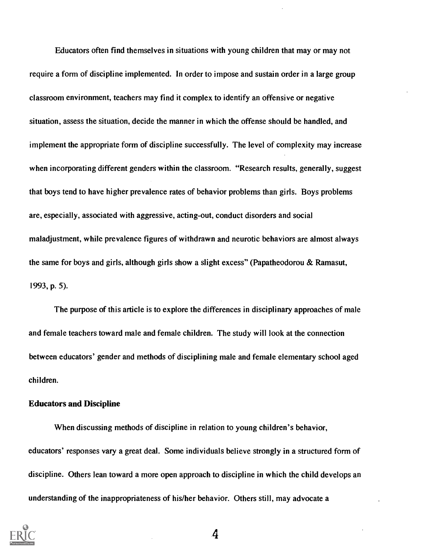Educators often find themselves in situations with young children that may or may not require a form of discipline implemented. In order to impose and sustain order in a large group classroom environment, teachers may find it complex to identify an offensive or negative situation, assess the situation, decide the manner in which the offense should be handled, and implement the appropriate form of discipline successfully. The level of complexity may increase when incorporating different genders within the classroom. "Research results, generally, suggest that boys tend to have higher prevalence rates of behavior problems than girls. Boys problems are, especially, associated with aggressive, acting-out, conduct disorders and social maladjustment, while prevalence figures of withdrawn and neurotic behaviors are almost always the same for boys and girls, although girls show a slight excess" (Papatheodorou & Ramasut, 1993, p. 5).

The purpose of this article is to explore the differences in disciplinary approaches of male and female teachers toward male and female children. The study will look at the connection between educators' gender and methods of disciplining male and female elementary school aged children.

#### Educators and Discipline

When discussing methods of discipline in relation to young children's behavior, educators' responses vary a great deal. Some individuals believe strongly in a structured form of discipline. Others lean toward a more open approach to discipline in which the child develops an understanding of the inappropriateness of his/her behavior. Others still, may advocate a

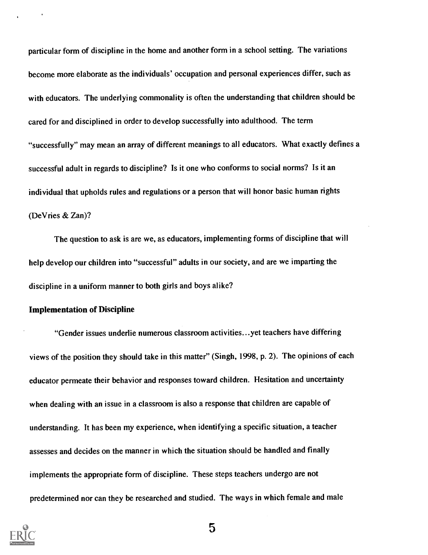particular form of discipline in the home and another form in a school setting. The variations become more elaborate as the individuals' occupation and personal experiences differ, such as with educators. The underlying commonality is often the understanding that children should be cared for and disciplined in order to develop successfully into adulthood. The term "successfully" may mean an array of different meanings to all educators. What exactly defines a successful adult in regards to discipline? Is it one who conforms to social norms? Is it an individual that upholds rules and regulations or a person that will honor basic human rights (De Vries & Zan)?

The question to ask is are we, as educators, implementing forms of discipline that will help develop our children into "successful" adults in our society, and are we imparting the discipline in a uniform manner to both girls and boys alike?

#### Implementation of Discipline

"Gender issues underlie numerous classroom activities...yet teachers have differing views of the position they should take in this matter" (Singh, 1998, p. 2). The opinions of each educator permeate their behavior and responses toward children. Hesitation and uncertainty when dealing with an issue in a classroom is also a response that children are capable of understanding. It has been my experience, when identifying a specific situation, a teacher assesses and decides on the manner in which the situation should be handled and finally implements the appropriate form of discipline. These steps teachers undergo are not predetermined nor can they be researched and studied. The ways in which female and male

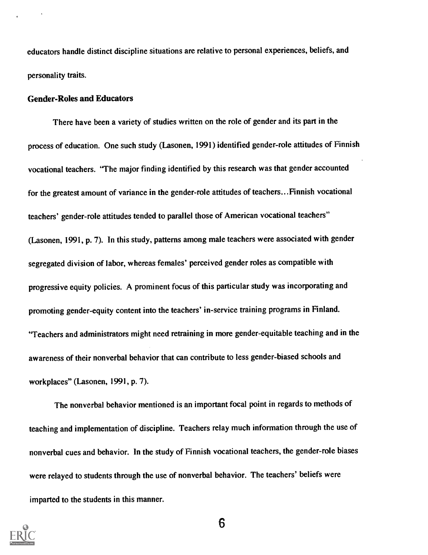educators handle distinct discipline situations are relative to personal experiences, beliefs, and personality traits.

#### Gender-Roles and Educators

There have been a variety of studies written on the role of gender and its part in the process of education. One such study (Lasonen, 1991) identified gender-role attitudes of Finnish vocational teachers. "The major finding identified by this research was that gender accounted for the greatest amount of variance in the gender-role attitudes of teachers...Finnish vocational teachers' gender-role attitudes tended to parallel those of American vocational teachers" (Lasonen, 1991, p. 7). In this study, patterns among male teachers were associated with gender segregated division of labor, whereas females' perceived gender roles as compatible with progressive equity policies. A prominent focus of this particular study was incorporating and promoting gender-equity content into the teachers' in-service training programs in Finland. "Teachers and administrators might need retraining in more gender-equitable teaching and in the awareness of their nonverbal behavior that can contribute to less gender-biased schools and workplaces" (Lasonen, 1991, p. 7).

The nonverbal behavior mentioned is an important focal point in regards to methods of teaching and implementation of discipline. Teachers relay much information through the use of nonverbal cues and behavior. In the study of Finnish vocational teachers, the gender-role biases were relayed to students through the use of nonverbal behavior. The teachers' beliefs were imparted to the students in this manner.

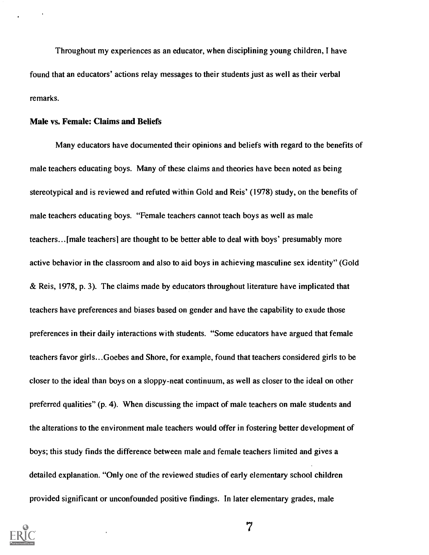Throughout my experiences as an educator, when disciplining young children, I have found that an educators' actions relay messages to their students just as well as their verbal remarks.

#### Male vs. Female: Claims and Beliefs

Many educators have documented their opinions and beliefs with regard to the benefits of male teachers educating boys. Many of these claims and theories have been noted as being stereotypical and is reviewed and refuted within Gold and Reis' (1978) study, on the benefits of male teachers educating boys. "Female teachers cannot teach boys as well as male teachers... [male teachers] are thought to be better able to deal with boys' presumably more active behavior in the classroom and also to aid boys in achieving masculine sex identity" (Gold & Reis, 1978, p. 3). The claims made by educators throughout literature have implicated that teachers have preferences and biases based on gender and have the capability to exude those preferences in their daily interactions with students. "Some educators have argued that female teachers favor girls...Goebes and Shore, for example, found that teachers considered girls to be closer to the ideal than boys on a sloppy-neat continuum, as well as closer to the ideal on other preferred qualities" (p. 4). When discussing the impact of male teachers on male students and the alterations to the environment male teachers would offer in fostering better development of boys; this study finds the difference between male and female teachers limited and gives a detailed explanation. "Only one of the reviewed studies of early elementary school children provided significant or unconfounded positive findings. In later elementary grades, male

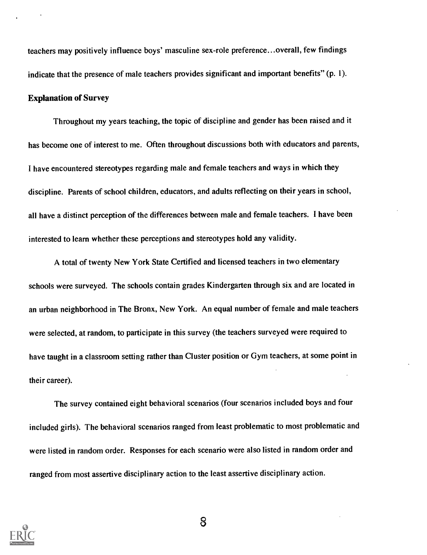teachers may positively influence boys' masculine sex-role preference...overall, few findings indicate that the presence of male teachers provides significant and important benefits" (p. 1).

#### Explanation of Survey

Throughout my years teaching, the topic of discipline and gender has been raised and it has become one of interest to me. Often throughout discussions both with educators and parents, I have encountered stereotypes regarding male and female teachers and ways in which they discipline. Parents of school children, educators, and adults reflecting on their years in school, all have a distinct perception of the differences between male and female teachers. I have been interested to learn whether these perceptions and stereotypes hold any validity.

A total of twenty New York State Certified and licensed teachers in two elementary schools were surveyed. The schools contain grades Kindergarten through six and are located in an urban neighborhood in The Bronx, New York. An equal number of female and male teachers were selected, at random, to participate in this survey (the teachers surveyed were required to have taught in a classroom setting rather than Cluster position or Gym teachers, at some point in their career).

The survey contained eight behavioral scenarios (four scenarios included boys and four included girls). The behavioral scenarios ranged from least problematic to most problematic and were listed in random order. Responses for each scenario were also listed in random order and ranged from most assertive disciplinary action to the least assertive disciplinary action.

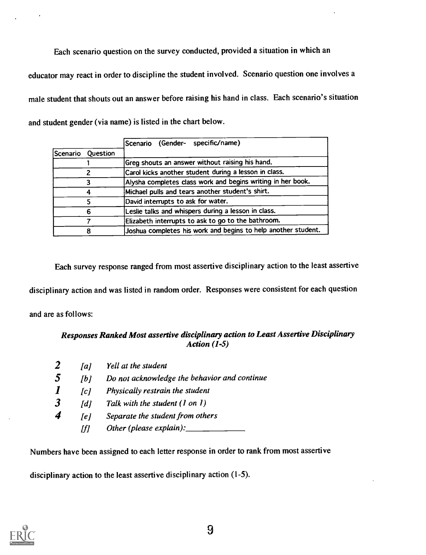Each scenario question on the survey conducted, provided a situation in which an educator may react in order to discipline the student involved. Scenario question one involves a male student that shouts out an answer before raising his hand in class. Each scenario's situation and student gender (via name) is listed in the chart below.

|                                                                                        |                                                          | Scenario (Gender- specific/name)                              |
|----------------------------------------------------------------------------------------|----------------------------------------------------------|---------------------------------------------------------------|
| Scenario                                                                               | Question                                                 |                                                               |
|                                                                                        |                                                          | Greg shouts an answer without raising his hand.               |
|                                                                                        |                                                          | Carol kicks another student during a lesson in class.         |
| Michael pulls and tears another student's shirt.<br>David interrupts to ask for water. |                                                          | Alysha completes class work and begins writing in her book.   |
|                                                                                        |                                                          |                                                               |
|                                                                                        |                                                          |                                                               |
|                                                                                        | Leslie talks and whispers during a lesson in class.<br>6 |                                                               |
| Elizabeth interrupts to ask to go to the bathroom.<br>Я                                |                                                          |                                                               |
|                                                                                        |                                                          | Joshua completes his work and begins to help another student. |

Each survey response ranged from most assertive disciplinary action to the least assertive

disciplinary action and was listed in random order. Responses were consistent for each question

and are as follows:

#### Responses Ranked Most assertive disciplinary action to Least Assertive Disciplinary Action (1-5)

|   | a                 | Yell at the student                          |
|---|-------------------|----------------------------------------------|
| 5 | Tb 1              | Do not acknowledge the behavior and continue |
|   | [c]               | Physically restrain the student              |
| 3 | $\lceil d \rceil$ | Talk with the student (1 on 1)               |
| 4 | [e]               | Separate the student from others             |
|   | /f/               | Other (please explain):                      |

Numbers have been assigned to each letter response in order to rank from most assertive

disciplinary action to the least assertive disciplinary action (1-5).

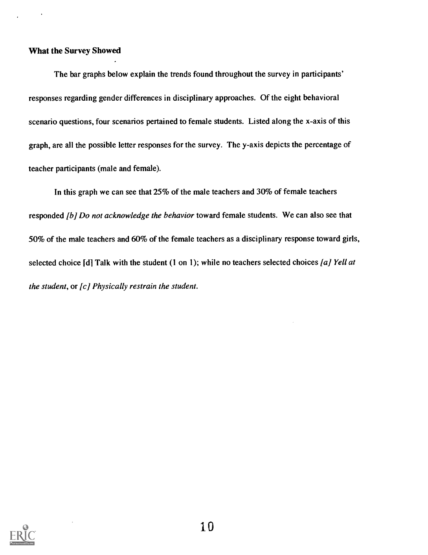#### What the Survey Showed

The bar graphs below explain the trends found throughout the survey in participants' responses regarding gender differences in disciplinary approaches. Of the eight behavioral scenario questions, four scenarios pertained to female students. Listed along the x-axis of this graph, are all the possible letter responses for the survey. The y-axis depicts the percentage of teacher participants (male and female).

In this graph we can see that 25% of the male teachers and 30% of female teachers responded [b] Do not acknowledge the behavior toward female students. We can also see that 50% of the male teachers and 60% of the female teachers as a disciplinary response toward girls, selected choice [d] Talk with the student (1 on 1); while no teachers selected choices [a] Yell at the student, or  $[c]$  Physically restrain the student.

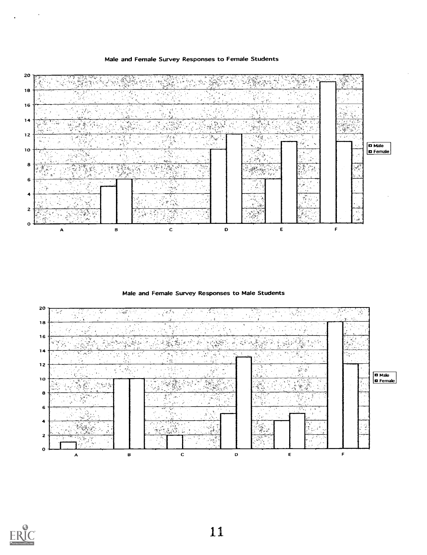#### Male and Female Survey Responses to Female Students



Male and Female Survey Responses to Male Students



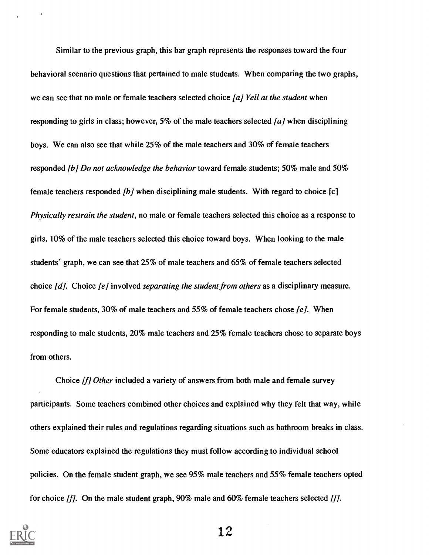Similar to the previous graph, this bar graph represents the responses toward the four behavioral scenario questions that pertained to male students. When comparing the two graphs, we can see that no male or female teachers selected choice  $[a]$  Yell at the student when responding to girls in class; however, 5% of the male teachers selected  $\alpha$  when disciplining boys. We can also see that while 25% of the male teachers and 30% of female teachers responded [b] Do not acknowledge the behavior toward female students; 50% male and 50% female teachers responded  $[b]$  when disciplining male students. With regard to choice  $[c]$ Physically restrain the student, no male or female teachers selected this choice as a response to girls, 10% of the male teachers selected this choice toward boys. When looking to the male students' graph, we can see that 25% of male teachers and 65% of female teachers selected choice  $[d]$ . Choice  $[e]$  involved separating the student from others as a disciplinary measure. For female students, 30% of male teachers and 55% of female teachers chose  $[e]$ . When responding to male students, 20% male teachers and 25% female teachers chose to separate boys from others.

Choice [f] Other included a variety of answers from both male and female survey participants. Some teachers combined other choices and explained why they felt that way, while others explained their rules and regulations regarding situations such as bathroom breaks in class. Some educators explained the regulations they must follow according to individual school policies. On the female student graph, we see 95% male teachers and 55% female teachers opted for choice  $[f]$ . On the male student graph, 90% male and 60% female teachers selected  $[f]$ .

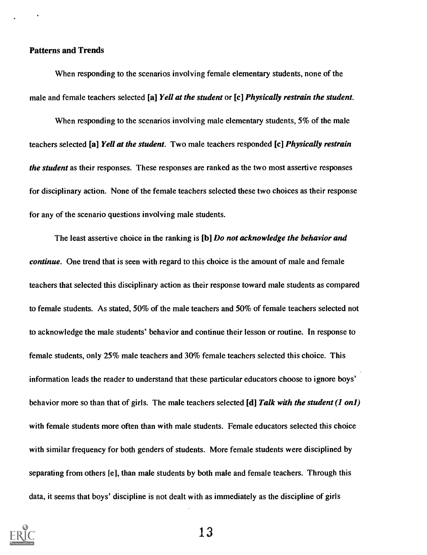#### Patterns and Trends

When responding to the scenarios involving female elementary students, none of the male and female teachers selected [a] Yell at the student or [c] Physically restrain the student.

When responding to the scenarios involving male elementary students, 5% of the male teachers selected [a] Yell at the student. Two male teachers responded [c] Physically restrain the student as their responses. These responses are ranked as the two most assertive responses for disciplinary action. None of the female teachers selected these two choices as their response for any of the scenario questions involving male students.

The least assertive choice in the ranking is [b] Do not acknowledge the behavior and continue. One trend that is seen with regard to this choice is the amount of male and female teachers that selected this disciplinary action as their response toward male students as compared to female students. As stated, 50% of the male teachers and 50% of female teachers selected not to acknowledge the male students' behavior and continue their lesson or routine. In response to female students, only 25% male teachers and 30% female teachers selected this choice. This information leads the reader to understand that these particular educators choose to ignore boys' behavior more so than that of girls. The male teachers selected  $\text{Id}$  Talk with the student (1 on1) with female students more often than with male students. Female educators selected this choice with similar frequency for both genders of students. More female students were disciplined by separating from others [e], than male students by both male and female teachers. Through this data, it seems that boys' discipline is not dealt with as immediately as the discipline of girls

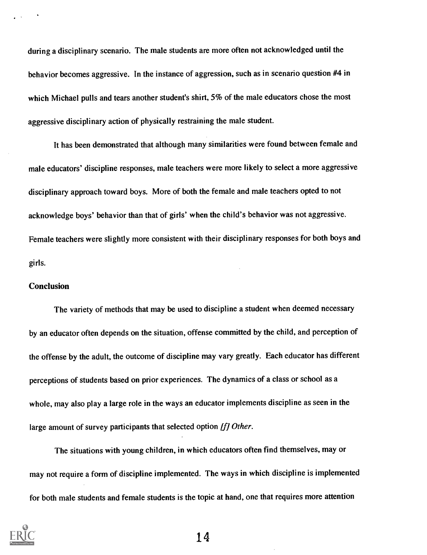during a disciplinary scenario. The male students are more often not acknowledged until the behavior becomes aggressive. In the instance of aggression, such as in scenario question #4 in which Michael pulls and tears another student's shirt, 5% of the male educators chose the most aggressive disciplinary action of physically restraining the male student.

It has been demonstrated that although many similarities were found between female and male educators' discipline responses, male teachers were more likely to select a more aggressive disciplinary approach toward boys. More of both the female and male teachers opted to not acknowledge boys' behavior than that of girls' when the child's behavior was not aggressive. Female teachers were slightly more consistent with their disciplinary responses for both boys and girls.

#### **Conclusion**

The variety of methods that may be used to discipline a student when deemed necessary by an educator often depends on the situation, offense committed by the child, and perception of the offense by the adult, the outcome of discipline may vary greatly. Each educator has different perceptions of students based on prior experiences. The dynamics of a class or school as a whole, may also play a large role in the ways an educator implements discipline as seen in the large amount of survey participants that selected option [f] Other.

The situations with young children, in which educators often find themselves, may or may not require a form of discipline implemented. The ways in which discipline is implemented for both male students and female students is the topic at hand, one that requires more attention

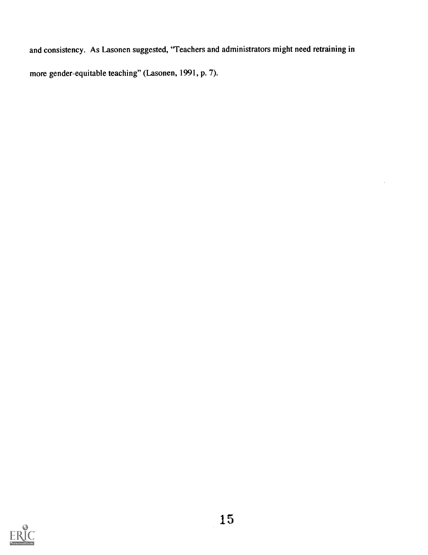and consistency. As Lasonen suggested, "Teachers and administrators might need retraining in more gender-equitable teaching" (Lasonen, 1991, p. 7).

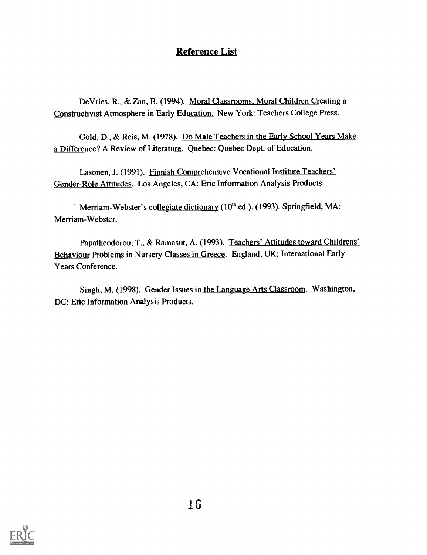# Reference List

De Vries, R., & Zan, B. (1994). Moral Classrooms, Moral Children Creating a Constructivist Atmosphere in Early Education. New York: Teachers College Press.

Gold, D., & Reis, M. (1978). Do Male Teachers in the Early School Years Make a Difference? A Review of Literature. Quebec: Quebec Dept. of Education.

Lasonen, J. (1991). Finnish Comprehensive Vocational Institute Teachers' Gender-Role Attitudes. Los Angeles, CA: Eric Information Analysis Products.

Merriam-Webster's collegiate dictionary  $(10<sup>th</sup>$  ed.). (1993). Springfield, MA: Merriam-Webster.

Papatheodorou, T., & Ramasut, A. (1993). Teachers' Attitudes toward Childrens' Behaviour Problems in Nursery Classes in Greece. England, UK: International Early Years Conference.

Singh, M. (1998). Gender Issues in the Language Arts Classroom. Washington, DC: Eric Information Analysis Products.

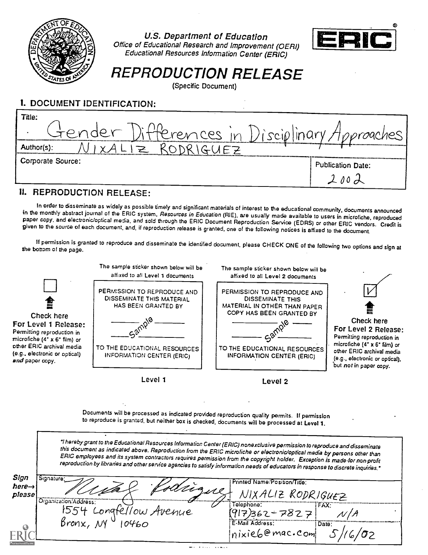

U.S. Department of Education Office of Educational Research and Improvement (OERI) Educational Resources information Center (ERIC)



REPRODUCTION RELEASE

(Specific Document)

# **I. DOCUMENT IDENTIFICATION:**

| 1919.1                                             |                   |
|----------------------------------------------------|-------------------|
|                                                    | 10 <sub>o</sub>   |
| Corporate Source:                                  | Publication Date: |
|                                                    |                   |
| Author(s):                                         | ************      |
| itender<br>Differences in Disciplinary Approaches' |                   |
| Title:                                             |                   |

### 11. REPRODUCTION RELEASE:

In order to disseminate as widely as possible timely and significant materials of interest to the educational community, documents announced<br>in the monthly abstract journal of the ERIC system, *Resources in Education* (RIE

If permission is granted to reproduce and disseminate the identified document, please CHECK ONE of the following two options and sign at the bottom of the page.

|                                                                                                                               | The sample sticker shown below will be<br>affixed to all Level 1 documents                                                                                                                                                                                                                                                                                                                                                                                                                                                  | The sample sticker shown below will be<br>affixed to all Level 2 documents                                                                         |                                                                                                                                                |
|-------------------------------------------------------------------------------------------------------------------------------|-----------------------------------------------------------------------------------------------------------------------------------------------------------------------------------------------------------------------------------------------------------------------------------------------------------------------------------------------------------------------------------------------------------------------------------------------------------------------------------------------------------------------------|----------------------------------------------------------------------------------------------------------------------------------------------------|------------------------------------------------------------------------------------------------------------------------------------------------|
| Check here<br>For Level 1 Release:<br>Permitting reproduction in<br>microfiche (4° x 6° film) or<br>other ERIC archival media | PERMISSION TO REPRODUCE AND<br>DISSEMINATE THIS MATERIAL<br>HAS BEEN GRANTED BY<br>TO THE EDUCATIONAL RESOURCES                                                                                                                                                                                                                                                                                                                                                                                                             | PERMISSION TO REPRODUCE AND<br><b>DISSEMINATE THIS</b><br>MATERIAL IN OTHER THAN PAPER<br>COPY HAS BEEN GRANTED BY<br>TO THE EDUCATIONAL RESOURCES | Check here<br>For Level 2 Release:<br>Permitting reproduction in<br>microfiche $(4^* \times 6^* \text{ film})$ or<br>other ERIC archival media |
| (e.g., electronic or optical)<br>and paper copy.                                                                              | INFORMATION CENTER (ERIC)                                                                                                                                                                                                                                                                                                                                                                                                                                                                                                   | <b>INFORMATION CENTER (ERIC)</b>                                                                                                                   | (e.g., electronic or optical),<br>but not in paper copy.                                                                                       |
|                                                                                                                               | Level 1                                                                                                                                                                                                                                                                                                                                                                                                                                                                                                                     | Level 2                                                                                                                                            |                                                                                                                                                |
|                                                                                                                               |                                                                                                                                                                                                                                                                                                                                                                                                                                                                                                                             |                                                                                                                                                    |                                                                                                                                                |
|                                                                                                                               | Documents will be processed as indicated provided reproduction quality permits. If permission<br>to reproduce is granted, but neither box is checked, documents will be processed at Level 1.                                                                                                                                                                                                                                                                                                                               |                                                                                                                                                    |                                                                                                                                                |
|                                                                                                                               | "I hereby grant to the Educational Resources Information Center (ERIC) nonexclusive permission to reproduce and disseminate<br>this document as indicated above. Reproduction from the ERIC microfiche or electronic/optical media by persons other than<br>ERIC employees and its system contractors requires permission from the copyright holder. Exception is made for non-profit<br>reproduction by libraries and other service agencies to satisfy information needs of educators in response to discrete inquiries." |                                                                                                                                                    |                                                                                                                                                |
| Sign<br>Signature:                                                                                                            |                                                                                                                                                                                                                                                                                                                                                                                                                                                                                                                             |                                                                                                                                                    |                                                                                                                                                |
| here $\rightarrow$                                                                                                            |                                                                                                                                                                                                                                                                                                                                                                                                                                                                                                                             | Printed Name/Position/Title:                                                                                                                       |                                                                                                                                                |
| please                                                                                                                        |                                                                                                                                                                                                                                                                                                                                                                                                                                                                                                                             | NIXALIZ RODRIGUEZ                                                                                                                                  |                                                                                                                                                |
| Organization/Address:<br>$\beta$ ronx, $N$                                                                                    | ellow Avenue                                                                                                                                                                                                                                                                                                                                                                                                                                                                                                                | Telephone:<br>FAX.<br>$917862 - 7827$                                                                                                              |                                                                                                                                                |

 $n$ ixieb@mac.com 5/16/02